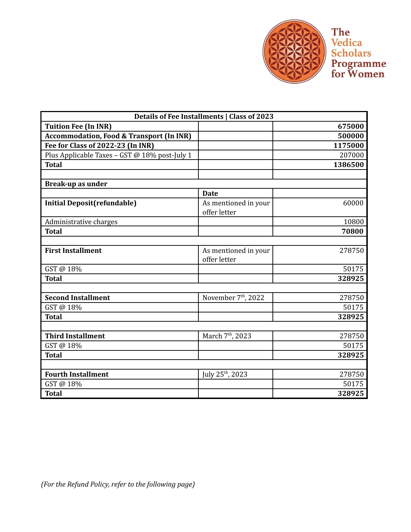

**The<br>Vedica<br>Scholars<br>Programme<br>for Women** 

| <b>Details of Fee Installments   Class of 2023</b>  |                                 |         |
|-----------------------------------------------------|---------------------------------|---------|
| <b>Tuition Fee (In INR)</b>                         |                                 | 675000  |
| <b>Accommodation, Food &amp; Transport (In INR)</b> |                                 | 500000  |
| Fee for Class of 2022-23 (In INR)                   |                                 | 1175000 |
| Plus Applicable Taxes - GST @ 18% post-July 1       |                                 | 207000  |
| <b>Total</b>                                        |                                 | 1386500 |
|                                                     |                                 |         |
| Break-up as under                                   |                                 |         |
|                                                     | <b>Date</b>                     |         |
| <b>Initial Deposit(refundable)</b>                  | As mentioned in your            | 60000   |
|                                                     | offer letter                    |         |
| Administrative charges                              |                                 | 10800   |
| <b>Total</b>                                        |                                 | 70800   |
|                                                     |                                 |         |
| <b>First Installment</b>                            | As mentioned in your            | 278750  |
|                                                     | offer letter                    |         |
| GST @ 18%                                           |                                 | 50175   |
| <b>Total</b>                                        |                                 | 328925  |
|                                                     |                                 |         |
| <b>Second Installment</b>                           | November 7 <sup>th</sup> , 2022 | 278750  |
| GST@18%                                             |                                 | 50175   |
| <b>Total</b>                                        |                                 | 328925  |
|                                                     |                                 |         |
| <b>Third Installment</b>                            | March 7 <sup>th</sup> , 2023    | 278750  |
| GST @ 18%                                           |                                 | 50175   |
| <b>Total</b>                                        |                                 | 328925  |
|                                                     |                                 |         |
| <b>Fourth Installment</b>                           | July 25 <sup>th</sup> , 2023    | 278750  |
| GST@18%                                             |                                 | 50175   |
| <b>Total</b>                                        |                                 | 328925  |